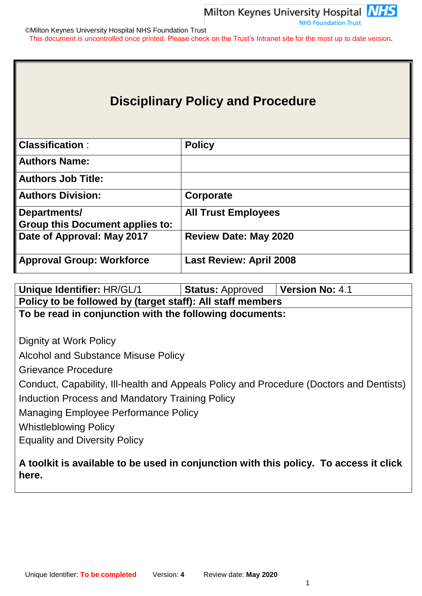

©Milton Keynes University Hospital NHS Foundation Trust This document is uncontrolled once printed. Please check on the Trust's Intranet site for the most up to date version**.**

# **Disciplinary Policy and Procedure**

| <b>Classification:</b>                 | <b>Policy</b>                  |
|----------------------------------------|--------------------------------|
| <b>Authors Name:</b>                   |                                |
| <b>Authors Job Title:</b>              |                                |
| <b>Authors Division:</b>               | Corporate                      |
| Departments/                           | <b>All Trust Employees</b>     |
| <b>Group this Document applies to:</b> |                                |
| Date of Approval: May 2017             | <b>Review Date: May 2020</b>   |
| <b>Approval Group: Workforce</b>       | <b>Last Review: April 2008</b> |

| Unique Identifier: HR/GL/1                                                                     | <b>Status: Approved</b> | <b>Version No: 4.1</b> |  |  |  |
|------------------------------------------------------------------------------------------------|-------------------------|------------------------|--|--|--|
| Policy to be followed by (target staff): All staff members                                     |                         |                        |  |  |  |
| To be read in conjunction with the following documents:                                        |                         |                        |  |  |  |
|                                                                                                |                         |                        |  |  |  |
| Dignity at Work Policy                                                                         |                         |                        |  |  |  |
| Alcohol and Substance Misuse Policy                                                            |                         |                        |  |  |  |
| Grievance Procedure                                                                            |                         |                        |  |  |  |
| Conduct, Capability, Ill-health and Appeals Policy and Procedure (Doctors and Dentists)        |                         |                        |  |  |  |
| Induction Process and Mandatory Training Policy                                                |                         |                        |  |  |  |
| Managing Employee Performance Policy                                                           |                         |                        |  |  |  |
| <b>Whistleblowing Policy</b>                                                                   |                         |                        |  |  |  |
| <b>Equality and Diversity Policy</b>                                                           |                         |                        |  |  |  |
| A toolkit is available to be used in conjunction with this policy. To access it click<br>here. |                         |                        |  |  |  |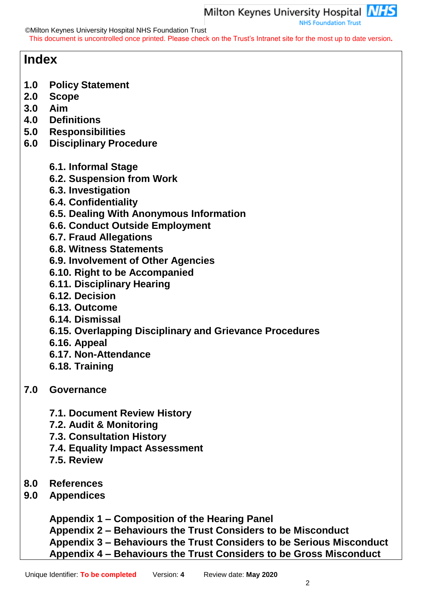©Milton Keynes University Hospital NHS Foundation Trust

This document is uncontrolled once printed. Please check on the Trust's Intranet site for the most up to date version**.**

# **Index**

- **1.0 Policy Statement**
- **2.0 Scope**
- **3.0 Aim**
- **4.0 Definitions**
- **5.0 Responsibilities**
- **6.0 Disciplinary Procedure**
	- **6.1. Informal Stage**
	- **6.2. Suspension from Work**
	- **6.3. Investigation**
	- **6.4. Confidentiality**
	- **6.5. Dealing With Anonymous Information**
	- **6.6. Conduct Outside Employment**
	- **6.7. Fraud Allegations**
	- **6.8. Witness Statements**
	- **6.9. Involvement of Other Agencies**
	- **6.10. Right to be Accompanied**
	- **6.11. Disciplinary Hearing**
	- **6.12. Decision**
	- **6.13. Outcome**
	- **6.14. Dismissal**
	- **6.15. Overlapping Disciplinary and Grievance Procedures**
	- **6.16. Appeal**
	- **6.17. Non-Attendance**
	- **6.18. Training**
- **7.0 Governance**
	- **7.1. Document Review History**
	- **7.2. Audit & Monitoring**
	- **7.3. Consultation History**
	- **7.4. Equality Impact Assessment**
	- **7.5. Review**
- **8.0 References**
- **9.0 Appendices**

**Appendix 1 – Composition of the Hearing Panel Appendix 2 – Behaviours the Trust Considers to be Misconduct Appendix 3 – Behaviours the Trust Considers to be Serious Misconduct Appendix 4 – Behaviours the Trust Considers to be Gross Misconduct**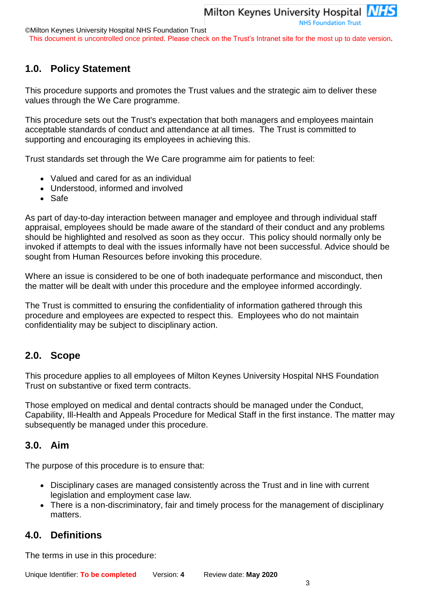This document is uncontrolled once printed. Please check on the Trust's Intranet site for the most up to date version**.**

# **1.0. Policy Statement**

This procedure supports and promotes the Trust values and the strategic aim to deliver these values through the We Care programme.

This procedure sets out the Trust's expectation that both managers and employees maintain acceptable standards of conduct and attendance at all times. The Trust is committed to supporting and encouraging its employees in achieving this.

Trust standards set through the We Care programme aim for patients to feel:

- Valued and cared for as an individual
- Understood, informed and involved
- Safe

As part of day-to-day interaction between manager and employee and through individual staff appraisal, employees should be made aware of the standard of their conduct and any problems should be highlighted and resolved as soon as they occur. This policy should normally only be invoked if attempts to deal with the issues informally have not been successful. Advice should be sought from Human Resources before invoking this procedure.

Where an issue is considered to be one of both inadequate performance and misconduct, then the matter will be dealt with under this procedure and the employee informed accordingly.

The Trust is committed to ensuring the confidentiality of information gathered through this procedure and employees are expected to respect this. Employees who do not maintain confidentiality may be subject to disciplinary action.

# **2.0. Scope**

This procedure applies to all employees of Milton Keynes University Hospital NHS Foundation Trust on substantive or fixed term contracts.

Those employed on medical and dental contracts should be managed under the Conduct, Capability, Ill-Health and Appeals Procedure for Medical Staff in the first instance. The matter may subsequently be managed under this procedure.

# **3.0. Aim**

The purpose of this procedure is to ensure that:

- Disciplinary cases are managed consistently across the Trust and in line with current legislation and employment case law.
- There is a non-discriminatory, fair and timely process for the management of disciplinary matters.

# **4.0. Definitions**

The terms in use in this procedure: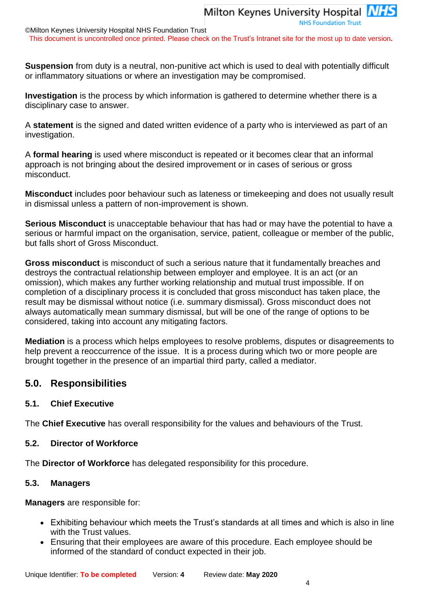**NHS Foundation Trust** 

©Milton Keynes University Hospital NHS Foundation Trust

This document is uncontrolled once printed. Please check on the Trust's Intranet site for the most up to date version**.**

**Suspension** from duty is a neutral, non-punitive act which is used to deal with potentially difficult or inflammatory situations or where an investigation may be compromised.

**Investigation** is the process by which information is gathered to determine whether there is a disciplinary case to answer.

A **statement** is the signed and dated written evidence of a party who is interviewed as part of an investigation.

A **formal hearing** is used where misconduct is repeated or it becomes clear that an informal approach is not bringing about the desired improvement or in cases of serious or gross misconduct.

**Misconduct** includes poor behaviour such as lateness or timekeeping and does not usually result in dismissal unless a pattern of non-improvement is shown.

**Serious Misconduct** is unacceptable behaviour that has had or may have the potential to have a serious or harmful impact on the organisation, service, patient, colleague or member of the public, but falls short of Gross Misconduct.

**Gross misconduct** is misconduct of such a serious nature that it fundamentally breaches and destroys the contractual relationship between employer and employee. It is an act (or an omission), which makes any further working relationship and mutual trust impossible. If on completion of a disciplinary process it is concluded that gross misconduct has taken place, the result may be dismissal without notice (i.e. summary dismissal). Gross misconduct does not always automatically mean summary dismissal, but will be one of the range of options to be considered, taking into account any mitigating factors.

**Mediation** is a process which helps employees to resolve problems, disputes or disagreements to help prevent a reoccurrence of the issue. It is a process during which two or more people are brought together in the presence of an impartial third party, called a mediator.

# **5.0. Responsibilities**

#### **5.1. Chief Executive**

The **Chief Executive** has overall responsibility for the values and behaviours of the Trust.

#### **5.2. Director of Workforce**

The **Director of Workforce** has delegated responsibility for this procedure.

#### **5.3. Managers**

**Managers** are responsible for:

- Exhibiting behaviour which meets the Trust's standards at all times and which is also in line with the Trust values.
- Ensuring that their employees are aware of this procedure. Each employee should be informed of the standard of conduct expected in their job.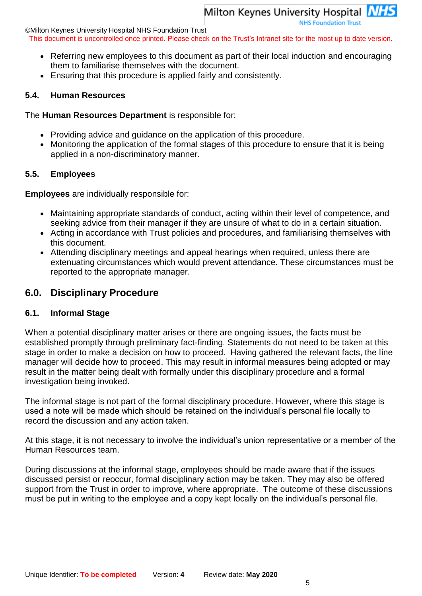©Milton Keynes University Hospital NHS Foundation Trust

This document is uncontrolled once printed. Please check on the Trust's Intranet site for the most up to date version**.**

• Referring new employees to this document as part of their local induction and encouraging them to familiarise themselves with the document.

**NHS Foundation Trust** 

Ensuring that this procedure is applied fairly and consistently.

# **5.4. Human Resources**

The **Human Resources Department** is responsible for:

- Providing advice and guidance on the application of this procedure.
- Monitoring the application of the formal stages of this procedure to ensure that it is being applied in a non-discriminatory manner.

# **5.5. Employees**

**Employees** are individually responsible for:

- Maintaining appropriate standards of conduct, acting within their level of competence, and seeking advice from their manager if they are unsure of what to do in a certain situation.
- Acting in accordance with Trust policies and procedures, and familiarising themselves with this document.
- Attending disciplinary meetings and appeal hearings when required, unless there are extenuating circumstances which would prevent attendance. These circumstances must be reported to the appropriate manager.

# **6.0. Disciplinary Procedure**

# **6.1. Informal Stage**

When a potential disciplinary matter arises or there are ongoing issues, the facts must be established promptly through preliminary fact-finding. Statements do not need to be taken at this stage in order to make a decision on how to proceed. Having gathered the relevant facts, the line manager will decide how to proceed. This may result in informal measures being adopted or may result in the matter being dealt with formally under this disciplinary procedure and a formal investigation being invoked.

The informal stage is not part of the formal disciplinary procedure. However, where this stage is used a note will be made which should be retained on the individual's personal file locally to record the discussion and any action taken.

At this stage, it is not necessary to involve the individual's union representative or a member of the Human Resources team.

During discussions at the informal stage, employees should be made aware that if the issues discussed persist or reoccur, formal disciplinary action may be taken. They may also be offered support from the Trust in order to improve, where appropriate. The outcome of these discussions must be put in writing to the employee and a copy kept locally on the individual's personal file.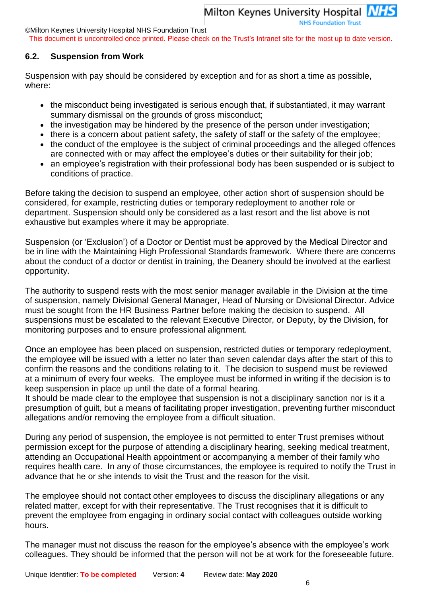©Milton Keynes University Hospital NHS Foundation Trust

This document is uncontrolled once printed. Please check on the Trust's Intranet site for the most up to date version**.**

#### **6.2. Suspension from Work**

Suspension with pay should be considered by exception and for as short a time as possible, where:

- the misconduct being investigated is serious enough that, if substantiated, it may warrant summary dismissal on the grounds of gross misconduct;
- the investigation may be hindered by the presence of the person under investigation;
- there is a concern about patient safety, the safety of staff or the safety of the employee;
- the conduct of the employee is the subject of criminal proceedings and the alleged offences are connected with or may affect the employee's duties or their suitability for their job;
- an employee's registration with their professional body has been suspended or is subject to conditions of practice.

Before taking the decision to suspend an employee, other action short of suspension should be considered, for example, restricting duties or temporary redeployment to another role or department. Suspension should only be considered as a last resort and the list above is not exhaustive but examples where it may be appropriate.

Suspension (or 'Exclusion') of a Doctor or Dentist must be approved by the Medical Director and be in line with the Maintaining High Professional Standards framework. Where there are concerns about the conduct of a doctor or dentist in training, the Deanery should be involved at the earliest opportunity.

The authority to suspend rests with the most senior manager available in the Division at the time of suspension, namely Divisional General Manager, Head of Nursing or Divisional Director. Advice must be sought from the HR Business Partner before making the decision to suspend. All suspensions must be escalated to the relevant Executive Director, or Deputy, by the Division, for monitoring purposes and to ensure professional alignment.

Once an employee has been placed on suspension, restricted duties or temporary redeployment, the employee will be issued with a letter no later than seven calendar days after the start of this to confirm the reasons and the conditions relating to it. The decision to suspend must be reviewed at a minimum of every four weeks. The employee must be informed in writing if the decision is to keep suspension in place up until the date of a formal hearing.

It should be made clear to the employee that suspension is not a disciplinary sanction nor is it a presumption of guilt, but a means of facilitating proper investigation, preventing further misconduct allegations and/or removing the employee from a difficult situation.

During any period of suspension, the employee is not permitted to enter Trust premises without permission except for the purpose of attending a disciplinary hearing, seeking medical treatment, attending an Occupational Health appointment or accompanying a member of their family who requires health care. In any of those circumstances, the employee is required to notify the Trust in advance that he or she intends to visit the Trust and the reason for the visit.

The employee should not contact other employees to discuss the disciplinary allegations or any related matter, except for with their representative. The Trust recognises that it is difficult to prevent the employee from engaging in ordinary social contact with colleagues outside working hours.

The manager must not discuss the reason for the employee's absence with the employee's work colleagues. They should be informed that the person will not be at work for the foreseeable future.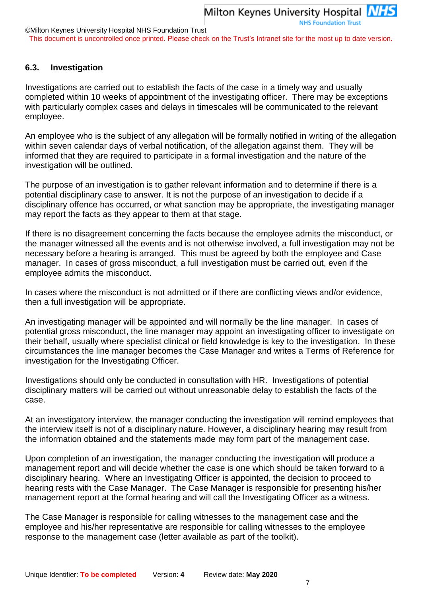#### ©Milton Keynes University Hospital NHS Foundation Trust

This document is uncontrolled once printed. Please check on the Trust's Intranet site for the most up to date version**.**

#### **6.3. Investigation**

Investigations are carried out to establish the facts of the case in a timely way and usually completed within 10 weeks of appointment of the investigating officer. There may be exceptions with particularly complex cases and delays in timescales will be communicated to the relevant employee.

An employee who is the subject of any allegation will be formally notified in writing of the allegation within seven calendar days of verbal notification, of the allegation against them. They will be informed that they are required to participate in a formal investigation and the nature of the investigation will be outlined.

The purpose of an investigation is to gather relevant information and to determine if there is a potential disciplinary case to answer. It is not the purpose of an investigation to decide if a disciplinary offence has occurred, or what sanction may be appropriate, the investigating manager may report the facts as they appear to them at that stage.

If there is no disagreement concerning the facts because the employee admits the misconduct, or the manager witnessed all the events and is not otherwise involved, a full investigation may not be necessary before a hearing is arranged. This must be agreed by both the employee and Case manager. In cases of gross misconduct, a full investigation must be carried out, even if the employee admits the misconduct.

In cases where the misconduct is not admitted or if there are conflicting views and/or evidence, then a full investigation will be appropriate.

An investigating manager will be appointed and will normally be the line manager. In cases of potential gross misconduct, the line manager may appoint an investigating officer to investigate on their behalf, usually where specialist clinical or field knowledge is key to the investigation. In these circumstances the line manager becomes the Case Manager and writes a Terms of Reference for investigation for the Investigating Officer.

Investigations should only be conducted in consultation with HR. Investigations of potential disciplinary matters will be carried out without unreasonable delay to establish the facts of the case.

At an investigatory interview, the manager conducting the investigation will remind employees that the interview itself is not of a disciplinary nature. However, a disciplinary hearing may result from the information obtained and the statements made may form part of the management case.

Upon completion of an investigation, the manager conducting the investigation will produce a management report and will decide whether the case is one which should be taken forward to a disciplinary hearing. Where an Investigating Officer is appointed, the decision to proceed to hearing rests with the Case Manager. The Case Manager is responsible for presenting his/her management report at the formal hearing and will call the Investigating Officer as a witness.

The Case Manager is responsible for calling witnesses to the management case and the employee and his/her representative are responsible for calling witnesses to the employee response to the management case (letter available as part of the toolkit).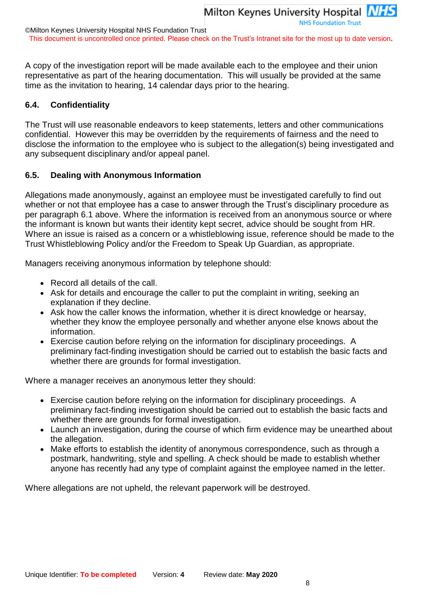This document is uncontrolled once printed. Please check on the Trust's Intranet site for the most up to date version**.**

A copy of the investigation report will be made available each to the employee and their union representative as part of the hearing documentation. This will usually be provided at the same time as the invitation to hearing, 14 calendar days prior to the hearing.

## **6.4. Confidentiality**

The Trust will use reasonable endeavors to keep statements, letters and other communications confidential. However this may be overridden by the requirements of fairness and the need to disclose the information to the employee who is subject to the allegation(s) being investigated and any subsequent disciplinary and/or appeal panel.

## **6.5. Dealing with Anonymous Information**

Allegations made anonymously, against an employee must be investigated carefully to find out whether or not that employee has a case to answer through the Trust's disciplinary procedure as per paragraph 6.1 above. Where the information is received from an anonymous source or where the informant is known but wants their identity kept secret, advice should be sought from HR. Where an issue is raised as a concern or a whistleblowing issue, reference should be made to the Trust Whistleblowing Policy and/or the Freedom to Speak Up Guardian, as appropriate.

Managers receiving anonymous information by telephone should:

- Record all details of the call.
- Ask for details and encourage the caller to put the complaint in writing, seeking an explanation if they decline.
- Ask how the caller knows the information, whether it is direct knowledge or hearsay, whether they know the employee personally and whether anyone else knows about the information.
- Exercise caution before relying on the information for disciplinary proceedings. A preliminary fact-finding investigation should be carried out to establish the basic facts and whether there are grounds for formal investigation.

Where a manager receives an anonymous letter they should:

- Exercise caution before relying on the information for disciplinary proceedings. A preliminary fact-finding investigation should be carried out to establish the basic facts and whether there are grounds for formal investigation.
- Launch an investigation, during the course of which firm evidence may be unearthed about the allegation.
- Make efforts to establish the identity of anonymous correspondence, such as through a postmark, handwriting, style and spelling. A check should be made to establish whether anyone has recently had any type of complaint against the employee named in the letter.

Where allegations are not upheld, the relevant paperwork will be destroyed.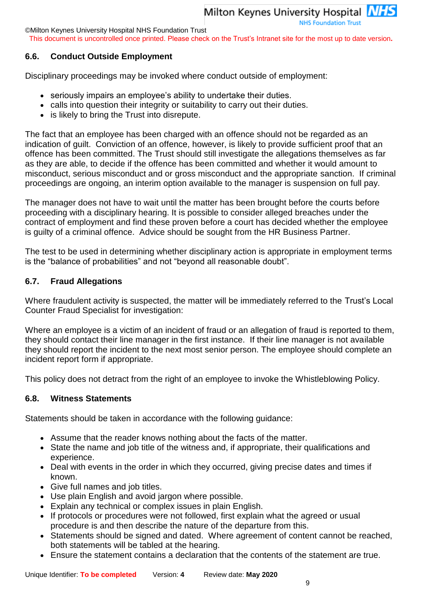**NHS Foundation Trust** 

©Milton Keynes University Hospital NHS Foundation Trust

This document is uncontrolled once printed. Please check on the Trust's Intranet site for the most up to date version**.**

#### **6.6. Conduct Outside Employment**

Disciplinary proceedings may be invoked where conduct outside of employment:

- seriously impairs an employee's ability to undertake their duties.
- calls into question their integrity or suitability to carry out their duties.
- is likely to bring the Trust into disrepute.

The fact that an employee has been charged with an offence should not be regarded as an indication of guilt. Conviction of an offence, however, is likely to provide sufficient proof that an offence has been committed. The Trust should still investigate the allegations themselves as far as they are able, to decide if the offence has been committed and whether it would amount to misconduct, serious misconduct and or gross misconduct and the appropriate sanction. If criminal proceedings are ongoing, an interim option available to the manager is suspension on full pay.

The manager does not have to wait until the matter has been brought before the courts before proceeding with a disciplinary hearing. It is possible to consider alleged breaches under the contract of employment and find these proven before a court has decided whether the employee is guilty of a criminal offence. Advice should be sought from the HR Business Partner.

The test to be used in determining whether disciplinary action is appropriate in employment terms is the "balance of probabilities" and not "beyond all reasonable doubt".

#### **6.7. Fraud Allegations**

Where fraudulent activity is suspected, the matter will be immediately referred to the Trust's Local Counter Fraud Specialist for investigation:

Where an employee is a victim of an incident of fraud or an allegation of fraud is reported to them, they should contact their line manager in the first instance. If their line manager is not available they should report the incident to the next most senior person. The employee should complete an incident report form if appropriate.

This policy does not detract from the right of an employee to invoke the Whistleblowing Policy.

#### **6.8. Witness Statements**

Statements should be taken in accordance with the following guidance:

- Assume that the reader knows nothing about the facts of the matter.
- State the name and job title of the witness and, if appropriate, their qualifications and experience.
- Deal with events in the order in which they occurred, giving precise dates and times if known.
- Give full names and job titles.
- Use plain English and avoid jargon where possible.
- Explain any technical or complex issues in plain English.
- If protocols or procedures were not followed, first explain what the agreed or usual procedure is and then describe the nature of the departure from this.
- Statements should be signed and dated. Where agreement of content cannot be reached, both statements will be tabled at the hearing.
- Ensure the statement contains a declaration that the contents of the statement are true.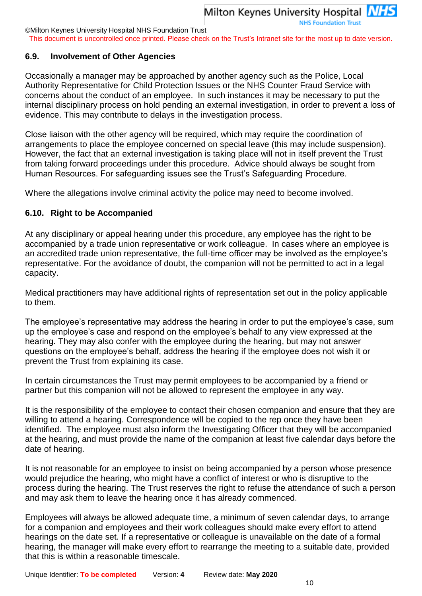This document is uncontrolled once printed. Please check on the Trust's Intranet site for the most up to date version**.**

#### **6.9. Involvement of Other Agencies**

Occasionally a manager may be approached by another agency such as the Police, Local Authority Representative for Child Protection Issues or the NHS Counter Fraud Service with concerns about the conduct of an employee. In such instances it may be necessary to put the internal disciplinary process on hold pending an external investigation, in order to prevent a loss of evidence. This may contribute to delays in the investigation process.

Close liaison with the other agency will be required, which may require the coordination of arrangements to place the employee concerned on special leave (this may include suspension). However, the fact that an external investigation is taking place will not in itself prevent the Trust from taking forward proceedings under this procedure. Advice should always be sought from Human Resources. For safeguarding issues see the Trust's Safeguarding Procedure.

Where the allegations involve criminal activity the police may need to become involved.

#### **6.10. Right to be Accompanied**

At any disciplinary or appeal hearing under this procedure, any employee has the right to be accompanied by a trade union representative or work colleague. In cases where an employee is an accredited trade union representative, the full-time officer may be involved as the employee's representative. For the avoidance of doubt, the companion will not be permitted to act in a legal capacity.

Medical practitioners may have additional rights of representation set out in the policy applicable to them.

The employee's representative may address the hearing in order to put the employee's case, sum up the employee's case and respond on the employee's behalf to any view expressed at the hearing. They may also confer with the employee during the hearing, but may not answer questions on the employee's behalf, address the hearing if the employee does not wish it or prevent the Trust from explaining its case.

In certain circumstances the Trust may permit employees to be accompanied by a friend or partner but this companion will not be allowed to represent the employee in any way.

It is the responsibility of the employee to contact their chosen companion and ensure that they are willing to attend a hearing. Correspondence will be copied to the rep once they have been identified. The employee must also inform the Investigating Officer that they will be accompanied at the hearing, and must provide the name of the companion at least five calendar days before the date of hearing.

It is not reasonable for an employee to insist on being accompanied by a person whose presence would prejudice the hearing, who might have a conflict of interest or who is disruptive to the process during the hearing. The Trust reserves the right to refuse the attendance of such a person and may ask them to leave the hearing once it has already commenced.

Employees will always be allowed adequate time, a minimum of seven calendar days, to arrange for a companion and employees and their work colleagues should make every effort to attend hearings on the date set. If a representative or colleague is unavailable on the date of a formal hearing, the manager will make every effort to rearrange the meeting to a suitable date, provided that this is within a reasonable timescale.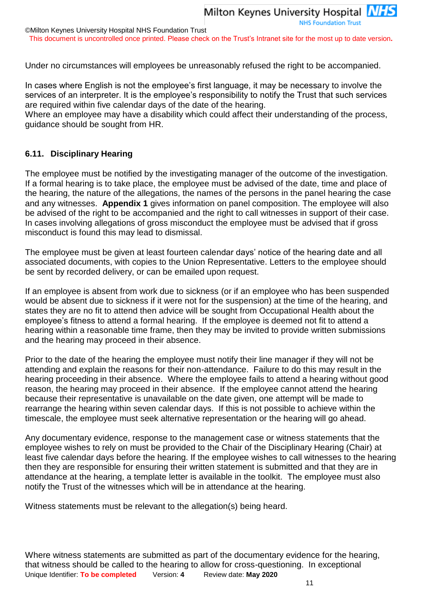This document is uncontrolled once printed. Please check on the Trust's Intranet site for the most up to date version**.**

Under no circumstances will employees be unreasonably refused the right to be accompanied.

In cases where English is not the employee's first language, it may be necessary to involve the services of an interpreter. It is the employee's responsibility to notify the Trust that such services are required within five calendar days of the date of the hearing.

Where an employee may have a disability which could affect their understanding of the process, guidance should be sought from HR.

#### **6.11. Disciplinary Hearing**

The employee must be notified by the investigating manager of the outcome of the investigation. If a formal hearing is to take place, the employee must be advised of the date, time and place of the hearing, the nature of the allegations, the names of the persons in the panel hearing the case and any witnesses. **Appendix 1** gives information on panel composition. The employee will also be advised of the right to be accompanied and the right to call witnesses in support of their case. In cases involving allegations of gross misconduct the employee must be advised that if gross misconduct is found this may lead to dismissal.

The employee must be given at least fourteen calendar days' notice of the hearing date and all associated documents, with copies to the Union Representative. Letters to the employee should be sent by recorded delivery, or can be emailed upon request.

If an employee is absent from work due to sickness (or if an employee who has been suspended would be absent due to sickness if it were not for the suspension) at the time of the hearing, and states they are no fit to attend then advice will be sought from Occupational Health about the employee's fitness to attend a formal hearing. If the employee is deemed not fit to attend a hearing within a reasonable time frame, then they may be invited to provide written submissions and the hearing may proceed in their absence.

Prior to the date of the hearing the employee must notify their line manager if they will not be attending and explain the reasons for their non-attendance. Failure to do this may result in the hearing proceeding in their absence. Where the employee fails to attend a hearing without good reason, the hearing may proceed in their absence. If the employee cannot attend the hearing because their representative is unavailable on the date given, one attempt will be made to rearrange the hearing within seven calendar days. If this is not possible to achieve within the timescale, the employee must seek alternative representation or the hearing will go ahead.

Any documentary evidence, response to the management case or witness statements that the employee wishes to rely on must be provided to the Chair of the Disciplinary Hearing (Chair) at least five calendar days before the hearing. If the employee wishes to call witnesses to the hearing then they are responsible for ensuring their written statement is submitted and that they are in attendance at the hearing, a template letter is available in the toolkit. The employee must also notify the Trust of the witnesses which will be in attendance at the hearing.

Witness statements must be relevant to the allegation(s) being heard.

Unique Identifier: **To be completed** Version: **4** Review date: **May 2020** Where witness statements are submitted as part of the documentary evidence for the hearing, that witness should be called to the hearing to allow for cross-questioning. In exceptional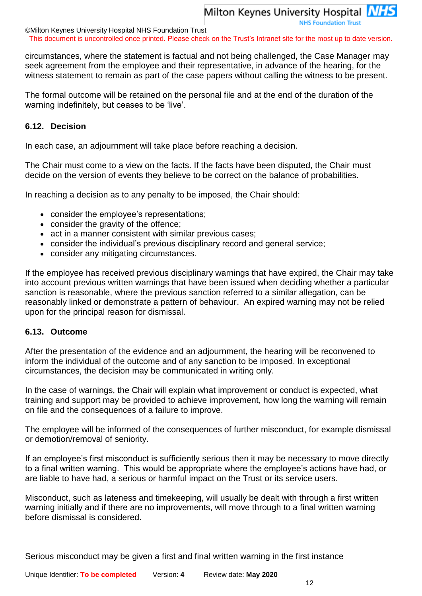©Milton Keynes University Hospital NHS Foundation Trust

This document is uncontrolled once printed. Please check on the Trust's Intranet site for the most up to date version**.**

circumstances, where the statement is factual and not being challenged, the Case Manager may seek agreement from the employee and their representative, in advance of the hearing, for the witness statement to remain as part of the case papers without calling the witness to be present.

The formal outcome will be retained on the personal file and at the end of the duration of the warning indefinitely, but ceases to be 'live'.

#### **6.12. Decision**

In each case, an adjournment will take place before reaching a decision.

The Chair must come to a view on the facts. If the facts have been disputed, the Chair must decide on the version of events they believe to be correct on the balance of probabilities.

In reaching a decision as to any penalty to be imposed, the Chair should:

- consider the employee's representations;
- consider the gravity of the offence;
- act in a manner consistent with similar previous cases;
- consider the individual's previous disciplinary record and general service;
- consider any mitigating circumstances.

If the employee has received previous disciplinary warnings that have expired, the Chair may take into account previous written warnings that have been issued when deciding whether a particular sanction is reasonable, where the previous sanction referred to a similar allegation, can be reasonably linked or demonstrate a pattern of behaviour. An expired warning may not be relied upon for the principal reason for dismissal.

#### **6.13. Outcome**

After the presentation of the evidence and an adjournment, the hearing will be reconvened to inform the individual of the outcome and of any sanction to be imposed. In exceptional circumstances, the decision may be communicated in writing only.

In the case of warnings, the Chair will explain what improvement or conduct is expected, what training and support may be provided to achieve improvement, how long the warning will remain on file and the consequences of a failure to improve.

The employee will be informed of the consequences of further misconduct, for example dismissal or demotion/removal of seniority.

If an employee's first misconduct is sufficiently serious then it may be necessary to move directly to a final written warning. This would be appropriate where the employee's actions have had, or are liable to have had, a serious or harmful impact on the Trust or its service users.

Misconduct, such as lateness and timekeeping, will usually be dealt with through a first written warning initially and if there are no improvements, will move through to a final written warning before dismissal is considered.

Serious misconduct may be given a first and final written warning in the first instance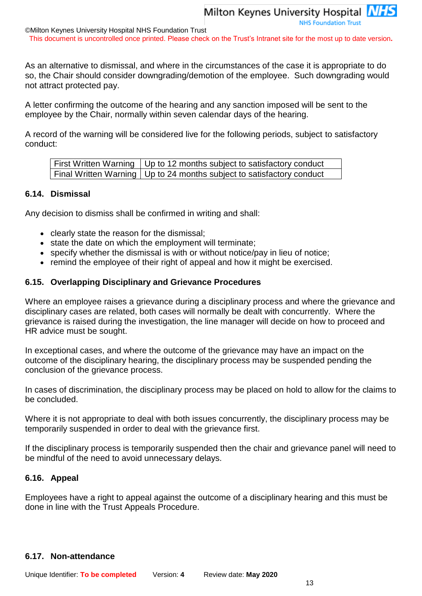#### ©Milton Keynes University Hospital NHS Foundation Trust This document is uncontrolled once printed. Please check on the Trust's Intranet site for the most up to date version**.**

As an alternative to dismissal, and where in the circumstances of the case it is appropriate to do so, the Chair should consider downgrading/demotion of the employee. Such downgrading would not attract protected pay.

A letter confirming the outcome of the hearing and any sanction imposed will be sent to the employee by the Chair, normally within seven calendar days of the hearing.

A record of the warning will be considered live for the following periods, subject to satisfactory conduct:

| First Written Warning   Up to 12 months subject to satisfactory conduct |
|-------------------------------------------------------------------------|
| Final Written Warning   Up to 24 months subject to satisfactory conduct |

#### **6.14. Dismissal**

Any decision to dismiss shall be confirmed in writing and shall:

- clearly state the reason for the dismissal;
- state the date on which the employment will terminate;
- specify whether the dismissal is with or without notice/pay in lieu of notice;
- remind the employee of their right of appeal and how it might be exercised.

#### **6.15. Overlapping Disciplinary and Grievance Procedures**

Where an employee raises a grievance during a disciplinary process and where the grievance and disciplinary cases are related, both cases will normally be dealt with concurrently. Where the grievance is raised during the investigation, the line manager will decide on how to proceed and HR advice must be sought.

In exceptional cases, and where the outcome of the grievance may have an impact on the outcome of the disciplinary hearing, the disciplinary process may be suspended pending the conclusion of the grievance process.

In cases of discrimination, the disciplinary process may be placed on hold to allow for the claims to be concluded.

Where it is not appropriate to deal with both issues concurrently, the disciplinary process may be temporarily suspended in order to deal with the grievance first.

If the disciplinary process is temporarily suspended then the chair and grievance panel will need to be mindful of the need to avoid unnecessary delays.

#### **6.16. Appeal**

Employees have a right to appeal against the outcome of a disciplinary hearing and this must be done in line with the Trust Appeals Procedure.

#### **6.17. Non-attendance**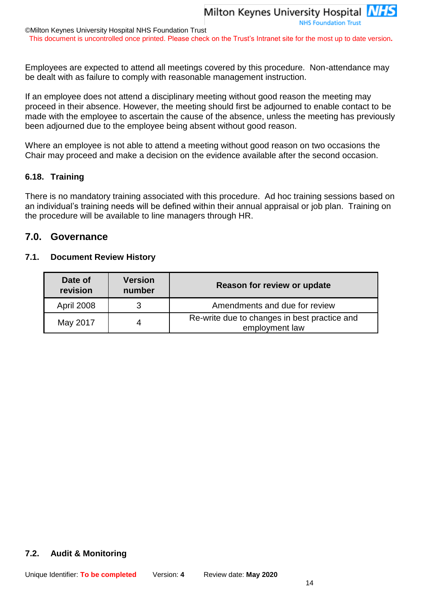This document is uncontrolled once printed. Please check on the Trust's Intranet site for the most up to date version**.**

Employees are expected to attend all meetings covered by this procedure. Non-attendance may be dealt with as failure to comply with reasonable management instruction.

If an employee does not attend a disciplinary meeting without good reason the meeting may proceed in their absence. However, the meeting should first be adjourned to enable contact to be made with the employee to ascertain the cause of the absence, unless the meeting has previously been adjourned due to the employee being absent without good reason.

Where an employee is not able to attend a meeting without good reason on two occasions the Chair may proceed and make a decision on the evidence available after the second occasion.

#### **6.18. Training**

There is no mandatory training associated with this procedure. Ad hoc training sessions based on an individual's training needs will be defined within their annual appraisal or job plan. Training on the procedure will be available to line managers through HR.

## **7.0. Governance**

#### **7.1. Document Review History**

| Date of<br>revision | <b>Version</b><br>number | Reason for review or update                                    |
|---------------------|--------------------------|----------------------------------------------------------------|
| <b>April 2008</b>   |                          | Amendments and due for review                                  |
| May 2017            |                          | Re-write due to changes in best practice and<br>employment law |

#### **7.2. Audit & Monitoring**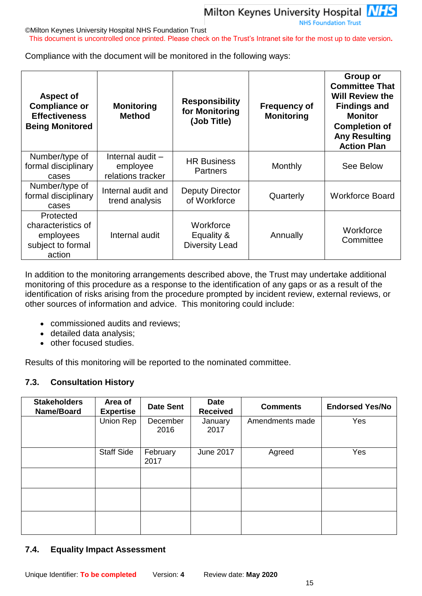

#### ©Milton Keynes University Hospital NHS Foundation Trust

This document is uncontrolled once printed. Please check on the Trust's Intranet site for the most up to date version**.**

Compliance with the document will be monitored in the following ways:

| <b>Aspect of</b><br><b>Compliance or</b><br><b>Effectiveness</b><br><b>Being Monitored</b> | <b>Monitoring</b><br><b>Method</b>                  | <b>Responsibility</b><br>for Monitoring<br>(Job Title) | <b>Frequency of</b><br><b>Monitoring</b> | <b>Group or</b><br><b>Committee That</b><br><b>Will Review the</b><br><b>Findings and</b><br><b>Monitor</b><br><b>Completion of</b><br><b>Any Resulting</b><br><b>Action Plan</b> |
|--------------------------------------------------------------------------------------------|-----------------------------------------------------|--------------------------------------------------------|------------------------------------------|-----------------------------------------------------------------------------------------------------------------------------------------------------------------------------------|
| Number/type of<br>formal disciplinary<br>cases                                             | Internal audit $-$<br>employee<br>relations tracker | <b>HR Business</b><br><b>Partners</b>                  | Monthly                                  | See Below                                                                                                                                                                         |
| Number/type of<br>formal disciplinary<br>cases                                             | Internal audit and<br>trend analysis                | Deputy Director<br>of Workforce                        | Quarterly                                | <b>Workforce Board</b>                                                                                                                                                            |
| Protected<br>characteristics of<br>employees<br>subject to formal<br>action                | Internal audit                                      | Workforce<br>Equality &<br><b>Diversity Lead</b>       | Annually                                 | Workforce<br>Committee                                                                                                                                                            |

In addition to the monitoring arrangements described above, the Trust may undertake additional monitoring of this procedure as a response to the identification of any gaps or as a result of the identification of risks arising from the procedure prompted by incident review, external reviews, or other sources of information and advice. This monitoring could include:

- commissioned audits and reviews;
- detailed data analysis;
- other focused studies.

Results of this monitoring will be reported to the nominated committee.

#### **7.3. Consultation History**

| <b>Stakeholders</b><br>Name/Board | Area of<br><b>Expertise</b> | <b>Date Sent</b> | <b>Date</b><br><b>Received</b> | <b>Comments</b> | <b>Endorsed Yes/No</b> |
|-----------------------------------|-----------------------------|------------------|--------------------------------|-----------------|------------------------|
|                                   | Union Rep                   | December<br>2016 | January<br>2017                | Amendments made | Yes                    |
|                                   | <b>Staff Side</b>           | February<br>2017 | <b>June 2017</b>               | Agreed          | Yes                    |
|                                   |                             |                  |                                |                 |                        |
|                                   |                             |                  |                                |                 |                        |
|                                   |                             |                  |                                |                 |                        |

#### **7.4. Equality Impact Assessment**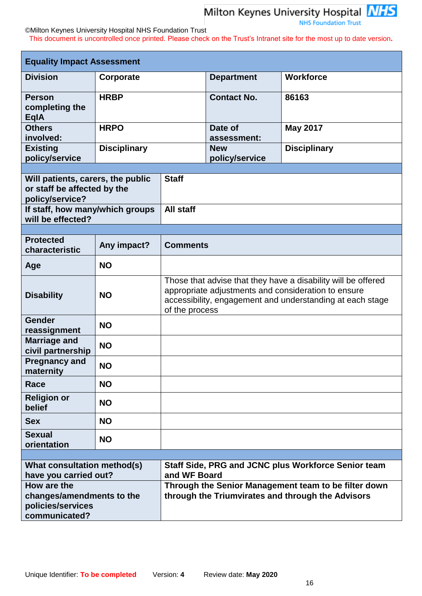

#### ©Milton Keynes University Hospital NHS Foundation Trust

This document is uncontrolled once printed. Please check on the Trust's Intranet site for the most up to date version**.**

| <b>Equality Impact Assessment</b>                                                   |                                              |                                                                                                                                                                                                     |                              |                     |  |
|-------------------------------------------------------------------------------------|----------------------------------------------|-----------------------------------------------------------------------------------------------------------------------------------------------------------------------------------------------------|------------------------------|---------------------|--|
| <b>Division</b>                                                                     | Corporate                                    |                                                                                                                                                                                                     | <b>Department</b>            | <b>Workforce</b>    |  |
| <b>Person</b><br>completing the<br><b>EqlA</b>                                      | <b>HRBP</b>                                  |                                                                                                                                                                                                     | <b>Contact No.</b>           | 86163               |  |
| <b>Others</b><br>involved:                                                          | <b>HRPO</b>                                  |                                                                                                                                                                                                     | Date of<br>assessment:       | <b>May 2017</b>     |  |
| <b>Existing</b><br>policy/service                                                   | <b>Disciplinary</b>                          |                                                                                                                                                                                                     | <b>New</b><br>policy/service | <b>Disciplinary</b> |  |
|                                                                                     |                                              |                                                                                                                                                                                                     |                              |                     |  |
| Will patients, carers, the public<br>or staff be affected by the<br>policy/service? |                                              | <b>Staff</b>                                                                                                                                                                                        |                              |                     |  |
| will be effected?                                                                   | All staff<br>If staff, how many/which groups |                                                                                                                                                                                                     |                              |                     |  |
|                                                                                     |                                              |                                                                                                                                                                                                     |                              |                     |  |
| <b>Protected</b><br>characteristic                                                  | Any impact?                                  | <b>Comments</b>                                                                                                                                                                                     |                              |                     |  |
| Age                                                                                 | <b>NO</b>                                    |                                                                                                                                                                                                     |                              |                     |  |
| <b>Disability</b>                                                                   | <b>NO</b>                                    | Those that advise that they have a disability will be offered<br>appropriate adjustments and consideration to ensure<br>accessibility, engagement and understanding at each stage<br>of the process |                              |                     |  |
| Gender<br>reassignment                                                              | <b>NO</b>                                    |                                                                                                                                                                                                     |                              |                     |  |
| <b>Marriage and</b><br>civil partnership                                            | <b>NO</b>                                    |                                                                                                                                                                                                     |                              |                     |  |
| <b>Pregnancy and</b><br>maternity                                                   | <b>NO</b>                                    |                                                                                                                                                                                                     |                              |                     |  |
| Race                                                                                | <b>NO</b>                                    |                                                                                                                                                                                                     |                              |                     |  |
| <b>Religion or</b><br>belief                                                        | <b>NO</b>                                    |                                                                                                                                                                                                     |                              |                     |  |
| <b>Sex</b>                                                                          | <b>NO</b>                                    |                                                                                                                                                                                                     |                              |                     |  |
| <b>Sexual</b><br>orientation                                                        | <b>NO</b>                                    |                                                                                                                                                                                                     |                              |                     |  |
|                                                                                     |                                              |                                                                                                                                                                                                     |                              |                     |  |
| What consultation method(s)<br>have you carried out?                                |                                              | Staff Side, PRG and JCNC plus Workforce Senior team<br>and WF Board                                                                                                                                 |                              |                     |  |
| How are the<br>changes/amendments to the<br>policies/services<br>communicated?      |                                              | Through the Senior Management team to be filter down<br>through the Triumvirates and through the Advisors                                                                                           |                              |                     |  |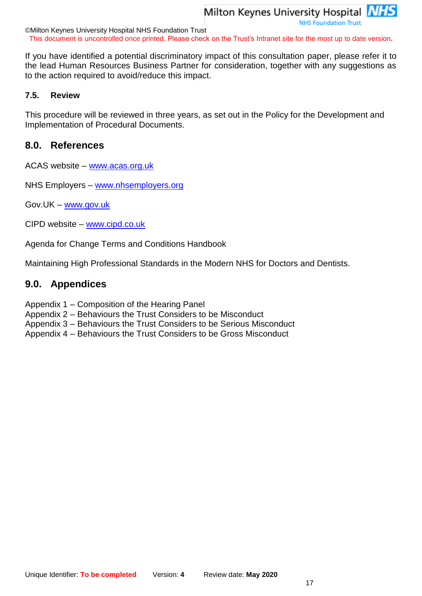**NHS Foundation Trust** 

©Milton Keynes University Hospital NHS Foundation Trust This document is uncontrolled once printed. Please check on the Trust's Intranet site for the most up to date version**.**

If you have identified a potential discriminatory impact of this consultation paper, please refer it to the lead Human Resources Business Partner for consideration, together with any suggestions as to the action required to avoid/reduce this impact.

## **7.5. Review**

This procedure will be reviewed in three years, as set out in the Policy for the Development and Implementation of Procedural Documents.

# **8.0. References**

ACAS website – [www.acas.org.uk](http://www.acas.org.uk/)

NHS Employers – [www.nhsemployers.org](http://www.nhsemployers.org/)

Gov.UK – [www.gov.uk](http://www.gov.uk/)

CIPD website – [www.cipd.co.uk](http://www.cipd.co.uk/)

Agenda for Change Terms and Conditions Handbook

Maintaining High Professional Standards in the Modern NHS for Doctors and Dentists.

# **9.0. Appendices**

- Appendix 1 Composition of the Hearing Panel
- Appendix 2 Behaviours the Trust Considers to be Misconduct
- Appendix 3 Behaviours the Trust Considers to be Serious Misconduct
- Appendix 4 Behaviours the Trust Considers to be Gross Misconduct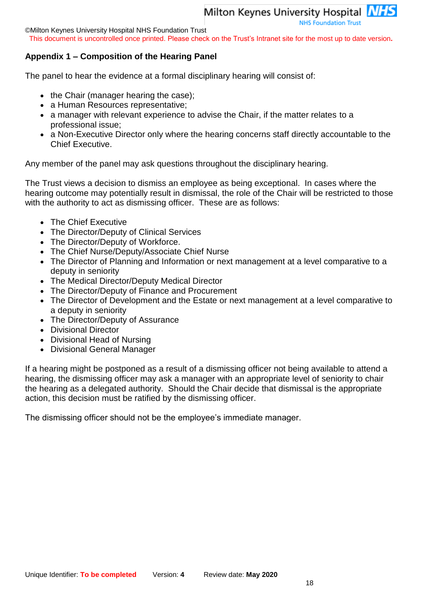**NHS Foundation Trust** 

©Milton Keynes University Hospital NHS Foundation Trust

This document is uncontrolled once printed. Please check on the Trust's Intranet site for the most up to date version**.**

## **Appendix 1 – Composition of the Hearing Panel**

The panel to hear the evidence at a formal disciplinary hearing will consist of:

- $\bullet$  the Chair (manager hearing the case);
- a Human Resources representative;
- a manager with relevant experience to advise the Chair, if the matter relates to a professional issue;
- a Non-Executive Director only where the hearing concerns staff directly accountable to the Chief Executive.

Any member of the panel may ask questions throughout the disciplinary hearing.

The Trust views a decision to dismiss an employee as being exceptional. In cases where the hearing outcome may potentially result in dismissal, the role of the Chair will be restricted to those with the authority to act as dismissing officer. These are as follows:

- The Chief Executive
- The Director/Deputy of Clinical Services
- The Director/Deputy of Workforce.
- The Chief Nurse/Deputy/Associate Chief Nurse
- The Director of Planning and Information or next management at a level comparative to a deputy in seniority
- The Medical Director/Deputy Medical Director
- The Director/Deputy of Finance and Procurement
- The Director of Development and the Estate or next management at a level comparative to a deputy in seniority
- The Director/Deputy of Assurance
- Divisional Director
- Divisional Head of Nursing
- Divisional General Manager

If a hearing might be postponed as a result of a dismissing officer not being available to attend a hearing, the dismissing officer may ask a manager with an appropriate level of seniority to chair the hearing as a delegated authority. Should the Chair decide that dismissal is the appropriate action, this decision must be ratified by the dismissing officer.

The dismissing officer should not be the employee's immediate manager.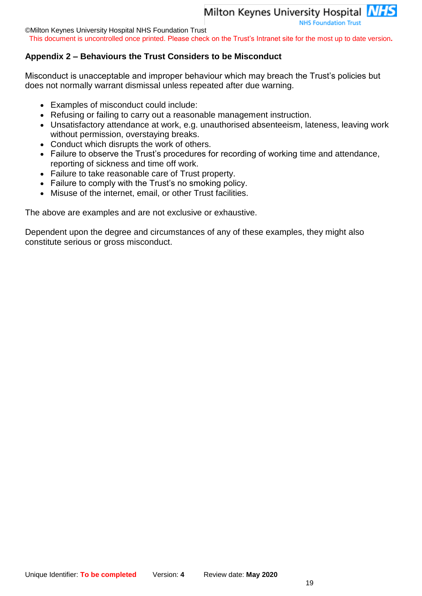**NHS Foundation Trust** 

©Milton Keynes University Hospital NHS Foundation Trust

This document is uncontrolled once printed. Please check on the Trust's Intranet site for the most up to date version**.**

## **Appendix 2 – Behaviours the Trust Considers to be Misconduct**

Misconduct is unacceptable and improper behaviour which may breach the Trust's policies but does not normally warrant dismissal unless repeated after due warning.

- Examples of misconduct could include:
- Refusing or failing to carry out a reasonable management instruction.
- Unsatisfactory attendance at work, e.g. unauthorised absenteeism, lateness, leaving work without permission, overstaying breaks.
- Conduct which disrupts the work of others.
- Failure to observe the Trust's procedures for recording of working time and attendance, reporting of sickness and time off work.
- Failure to take reasonable care of Trust property.
- Failure to comply with the Trust's no smoking policy.
- Misuse of the internet, email, or other Trust facilities.

The above are examples and are not exclusive or exhaustive.

Dependent upon the degree and circumstances of any of these examples, they might also constitute serious or gross misconduct.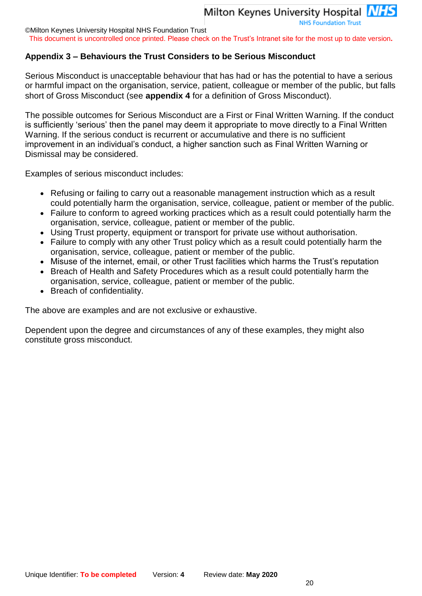©Milton Keynes University Hospital NHS Foundation Trust

This document is uncontrolled once printed. Please check on the Trust's Intranet site for the most up to date version**.**

## **Appendix 3 – Behaviours the Trust Considers to be Serious Misconduct**

Serious Misconduct is unacceptable behaviour that has had or has the potential to have a serious or harmful impact on the organisation, service, patient, colleague or member of the public, but falls short of Gross Misconduct (see **appendix 4** for a definition of Gross Misconduct).

The possible outcomes for Serious Misconduct are a First or Final Written Warning. If the conduct is sufficiently 'serious' then the panel may deem it appropriate to move directly to a Final Written Warning. If the serious conduct is recurrent or accumulative and there is no sufficient improvement in an individual's conduct, a higher sanction such as Final Written Warning or Dismissal may be considered.

Examples of serious misconduct includes:

- Refusing or failing to carry out a reasonable management instruction which as a result could potentially harm the organisation, service, colleague, patient or member of the public.
- Failure to conform to agreed working practices which as a result could potentially harm the organisation, service, colleague, patient or member of the public.
- Using Trust property, equipment or transport for private use without authorisation.
- Failure to comply with any other Trust policy which as a result could potentially harm the organisation, service, colleague, patient or member of the public.
- Misuse of the internet, email, or other Trust facilities which harms the Trust's reputation
- Breach of Health and Safety Procedures which as a result could potentially harm the organisation, service, colleague, patient or member of the public.
- Breach of confidentiality.

The above are examples and are not exclusive or exhaustive.

Dependent upon the degree and circumstances of any of these examples, they might also constitute gross misconduct.